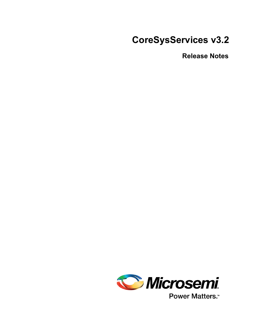# **CoreSysServices v3.2**

**Release Notes**



**Power Matters.**<sup>™</sup>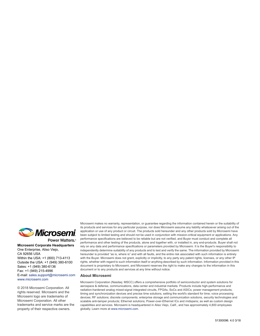

**Microsemi Corporate Headquarters** One Enterprise, Aliso Viejo, CA 92656 USA Within the USA: +1 (800) 713-4113 Outside the USA: +1 (949) 380-6100 Sales: +1 (949) 380-6136 Fax: +1 (949) 215-4996 E-mail: [sales.support@microsemi.com](mailto:sales.support@microsemi.com) [www.microsemi.com](http://www.microsemi.com)

© 2018 Microsemi Corporation. All rights reserved. Microsemi and the Microsemi logo are trademarks of Microsemi Corporation. All other trademarks and service marks are the property of their respective owners.

Microsemi makes no warranty, representation, or guarantee regarding the information contained herein or the suitability of its products and services for any particular purpose, nor does Microsemi assume any liability whatsoever arising out of the application or use of any product or circuit. The products sold hereunder and any other products sold by Microsemi have been subject to limited testing and should not be used in conjunction with mission-critical equipment or applications. Any performance specifications are believed to be reliable but are not verified, and Buyer must conduct and complete all performance and other testing of the products, alone and together with, or installed in, any end-products. Buyer shall not rely on any data and performance specifications or parameters provided by Microsemi. It is the Buyer's responsibility to independently determine suitability of any products and to test and verify the same. The information provided by Microsemi hereunder is provided "as is, where is" and with all faults, and the entire risk associated with such information is entirely with the Buyer. Microsemi does not grant, explicitly or implicitly, to any party any patent rights, licenses, or any other IP rights, whether with regard to such information itself or anything described by such information. Information provided in this document is proprietary to Microsemi, and Microsemi reserves the right to make any changes to the information in this document or to any products and services at any time without notice.

#### **About Microsemi**

Microsemi Corporation (Nasdaq: MSCC) offers a comprehensive portfolio of semiconductor and system solutions for aerospace & defense, communications, data center and industrial markets. Products include high-performance and radiation-hardened analog mixed-signal integrated circuits, FPGAs, SoCs and ASICs; power management products; timing and synchronization devices and precise time solutions, setting the world's standard for time; voice processing devices; RF solutions; discrete components; enterprise storage and communication solutions, security technologies and scalable anti-tamper products; Ethernet solutions; Power-over-Ethernet ICs and midspans; as well as custom design capabilities and services. Microsemi is headquartered in Aliso Viejo, Calif., and has approximately 4,800 employees globally. Learn more at www.microsemi.com.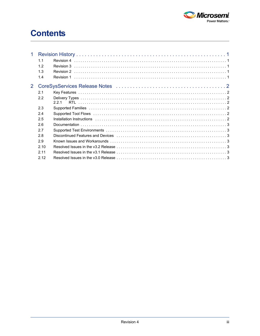

# **Contents**

| 1              |      |                                                                                                                              |  |
|----------------|------|------------------------------------------------------------------------------------------------------------------------------|--|
|                | 1.1  |                                                                                                                              |  |
|                | 12   |                                                                                                                              |  |
|                | 1.3  | Revision 2                                                                                                                   |  |
|                | 1.4  | Revision 1                                                                                                                   |  |
| $\mathbf{2}^-$ |      |                                                                                                                              |  |
|                | 2.1  |                                                                                                                              |  |
|                | 2.2  |                                                                                                                              |  |
|                |      | 221                                                                                                                          |  |
|                | 2.3  |                                                                                                                              |  |
|                | 2.4  |                                                                                                                              |  |
|                | 2.5  |                                                                                                                              |  |
|                | 2.6  |                                                                                                                              |  |
|                | 2.7  |                                                                                                                              |  |
|                | 2.8  |                                                                                                                              |  |
|                | 2.9  |                                                                                                                              |  |
|                | 2.10 |                                                                                                                              |  |
|                | 2.11 |                                                                                                                              |  |
|                | 2.12 | Resolved Issues in the v3.0 Release $\ldots$ and $\ldots$ are $\ldots$ and $\ldots$ are $\ldots$ and $\ldots$ are $\ldots$ . |  |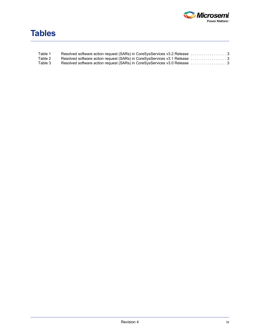

## **Tables**

| Table 1 |  |
|---------|--|
| Table 2 |  |
| Table 3 |  |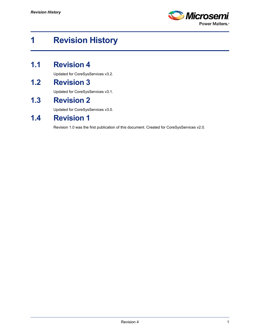

## <span id="page-4-0"></span>**1 Revision History**

## <span id="page-4-1"></span>**1.1 Revision 4**

Updated for CoreSysServices v3.2.

#### <span id="page-4-2"></span>**1.2 Revision 3**

Updated for CoreSysServices v3.1.

## <span id="page-4-3"></span>**1.3 Revision 2**

Updated for CoreSysServices v3.0.

### <span id="page-4-4"></span>**1.4 Revision 1**

Revision 1.0 was the first publication of this document. Created for CoreSysServices v2.0.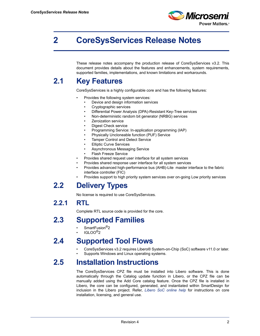

## <span id="page-5-0"></span>**2 CoreSysServices Release Notes**

These release notes accompany the production release of CoreSysServices v3.2. This document provides details about the features and enhancements, system requirements, supported families, implementations, and known limitations and workarounds.

## <span id="page-5-1"></span>**2.1 Key Features**

CoreSysServices is a highly configurable core and has the following features:

- Provides the following system services:
	- Device and design information services
	- Cryptographic services
	- Differential Power Analysis (DPA)-Resistant Key-Tree services
	- Non-deterministic random bit generator (NRBG) services
	- Zeroization service
	- Digest Check service
	- Programming Service: In-application programming (IAP)
	- Physically Uncloneable function (PUF) Service
	- Tamper Control and Detect Service
	- **Elliptic Curve Services**
	- Asynchronous Messaging Service
	- Flash Freeze Service
- Provides shared request user interface for all system services
- Provides shared response user interface for all system services
- Provides advanced high-performance bus (AHB)-Lite master interface to the fabric interface controller (FIC)
- Provides support to high priority system services over on-going Low priority services

#### <span id="page-5-2"></span>**2.2 Delivery Types**

No license is required to use CoreSysServices.

#### <span id="page-5-3"></span>**2.2.1 RTL**

Complete RTL source code is provided for the core.

#### <span id="page-5-4"></span>**2.3 Supported Families**

- SmartFusion<sup>®</sup>2
- IGLOO®2

#### <span id="page-5-5"></span>**2.4 Supported Tool Flows**

- CoreSysServices v3.2 requires Libero® System-on-Chip (SoC) software v11.0 or later.
- Supports Windows and Linux operating systems.

## <span id="page-5-6"></span>**2.5 Installation Instructions**

The CoreSysServices CPZ file must be installed into Libero software. This is done automatically through the Catalog update function in Libero, or the CPZ file can be manually added using the Add Core catalog feature. Once the CPZ file is installed in Libero, the core can be configured, generated, and instantiated within SmartDesign for inclusion in the Libero project. Refer, *Libero SoC online help* for instructions on core installation, licensing, and general use.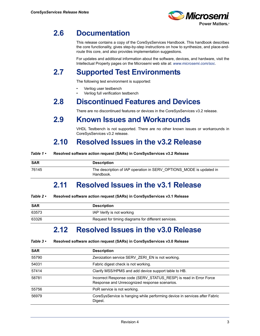

#### <span id="page-6-0"></span>**2.6 Documentation**

This release contains a copy of the CoreSysServices Handbook. This handbook describes the core functionality, gives step-by-step instructions on how to synthesize, and place-androute this core, and also provides implementation suggestions.

For updates and additional information about the software, devices, and hardware, visit the Intellectual Property pages on the Microsemi web site at: *<www.microsemi.com/soc>*.

## <span id="page-6-1"></span>**2.7 Supported Test Environments**

The following test environment is supported:

- Verilog user testbench
- Verilog full verification testbench

## <span id="page-6-2"></span>**2.8 Discontinued Features and Devices**

There are no discontinued features or devices in the CoreSysServices v3.2 release.

#### <span id="page-6-3"></span>**2.9 Known Issues and Workarounds**

VHDL Testbench is not supported. There are no other known issues or workarounds in CoreSysServices v3.2 release.

## <span id="page-6-4"></span>**2.10 Resolved Issues in the v3.2 Release**

<span id="page-6-7"></span>

| <b>SAR</b> | <b>Description</b>                                                               |
|------------|----------------------------------------------------------------------------------|
| 76145      | The description of IAP operation in SERV OPTIONS MODE is updated in<br>Handbook. |

#### <span id="page-6-5"></span>**2.11 Resolved Issues in the v3.1 Release**

#### <span id="page-6-8"></span>*Table 2 •* **Resolved software action request (SARs) in CoreSysServices v3.1 Release**

| <b>SAR</b> | <b>Description</b>                                  |
|------------|-----------------------------------------------------|
| 63573      | IAP Verify is not working                           |
| 63326      | Request for timing diagrams for different services. |

#### <span id="page-6-6"></span>**2.12 Resolved Issues in the v3.0 Release**

<span id="page-6-9"></span>

| Table $3 \cdot$ | Resolved software action request (SARs) in CoreSysServices v3.0 Release |  |  |  |  |
|-----------------|-------------------------------------------------------------------------|--|--|--|--|
|-----------------|-------------------------------------------------------------------------|--|--|--|--|

| <b>SAR</b> | <b>Description</b>                                                                                                 |
|------------|--------------------------------------------------------------------------------------------------------------------|
| 55790      | Zeroization service SERV ZERI EN is not working.                                                                   |
| 54031      | Fabric digest check is not working.                                                                                |
| 57414      | Clarify MSS/HPMS and add device support table to HB.                                                               |
| 58781      | Incorrect Response code (SERV STATUS RESP) is read in Error Force<br>Response and Unrecognized response scenarios. |
| 55756      | PoR service is not working.                                                                                        |
| 56979      | CoreSysService is hanging while performing device in services after Fabric<br>Digest.                              |